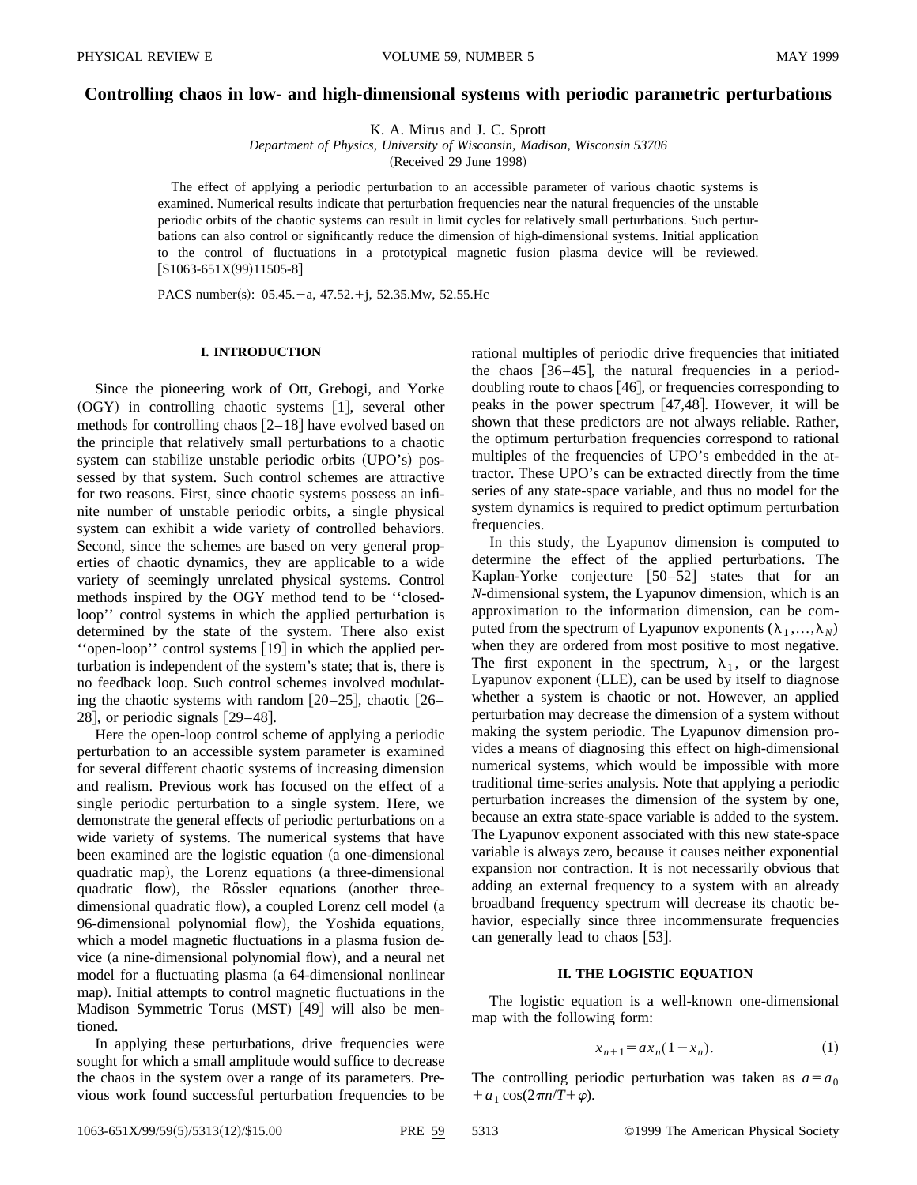# **Controlling chaos in low- and high-dimensional systems with periodic parametric perturbations**

K. A. Mirus and J. C. Sprott

*Department of Physics, University of Wisconsin, Madison, Wisconsin 53706* (Received 29 June 1998)

The effect of applying a periodic perturbation to an accessible parameter of various chaotic systems is examined. Numerical results indicate that perturbation frequencies near the natural frequencies of the unstable periodic orbits of the chaotic systems can result in limit cycles for relatively small perturbations. Such perturbations can also control or significantly reduce the dimension of high-dimensional systems. Initial application to the control of fluctuations in a prototypical magnetic fusion plasma device will be reviewed.  $[S1063-651X(99)11505-8]$ 

PACS number(s):  $05.45.-a$ ,  $47.52.+j$ ,  $52.35.Mw$ ,  $52.55.Hc$ 

# **I. INTRODUCTION**

Since the pioneering work of Ott, Grebogi, and Yorke  $(OGY)$  in controlling chaotic systems  $[1]$ , several other methods for controlling chaos  $[2-18]$  have evolved based on the principle that relatively small perturbations to a chaotic system can stabilize unstable periodic orbits (UPO's) possessed by that system. Such control schemes are attractive for two reasons. First, since chaotic systems possess an infinite number of unstable periodic orbits, a single physical system can exhibit a wide variety of controlled behaviors. Second, since the schemes are based on very general properties of chaotic dynamics, they are applicable to a wide variety of seemingly unrelated physical systems. Control methods inspired by the OGY method tend to be ''closedloop'' control systems in which the applied perturbation is determined by the state of the system. There also exist "open-loop" control systems [19] in which the applied perturbation is independent of the system's state; that is, there is no feedback loop. Such control schemes involved modulating the chaotic systems with random  $[20-25]$ , chaotic  $[26-$ 28, or periodic signals  $|29-48|$ .

Here the open-loop control scheme of applying a periodic perturbation to an accessible system parameter is examined for several different chaotic systems of increasing dimension and realism. Previous work has focused on the effect of a single periodic perturbation to a single system. Here, we demonstrate the general effects of periodic perturbations on a wide variety of systems. The numerical systems that have been examined are the logistic equation (a one-dimensional quadratic map), the Lorenz equations (a three-dimensional quadratic flow), the Rössler equations (another threedimensional quadratic flow), a coupled Lorenz cell model (a 96-dimensional polynomial flow), the Yoshida equations, which a model magnetic fluctuations in a plasma fusion device (a nine-dimensional polynomial flow), and a neural net model for a fluctuating plasma (a 64-dimensional nonlinear map). Initial attempts to control magnetic fluctuations in the Madison Symmetric Torus  $(MST)$  [49] will also be mentioned.

In applying these perturbations, drive frequencies were sought for which a small amplitude would suffice to decrease the chaos in the system over a range of its parameters. Previous work found successful perturbation frequencies to be rational multiples of periodic drive frequencies that initiated the chaos  $[36-45]$ , the natural frequencies in a perioddoubling route to chaos  $[46]$ , or frequencies corresponding to peaks in the power spectrum  $[47, 48]$ . However, it will be shown that these predictors are not always reliable. Rather, the optimum perturbation frequencies correspond to rational multiples of the frequencies of UPO's embedded in the attractor. These UPO's can be extracted directly from the time series of any state-space variable, and thus no model for the system dynamics is required to predict optimum perturbation frequencies.

In this study, the Lyapunov dimension is computed to determine the effect of the applied perturbations. The Kaplan-Yorke conjecture  $[50-52]$  states that for an *N*-dimensional system, the Lyapunov dimension, which is an approximation to the information dimension, can be computed from the spectrum of Lyapunov exponents  $(\lambda_1, ..., \lambda_N)$ when they are ordered from most positive to most negative. The first exponent in the spectrum,  $\lambda_1$ , or the largest Lyapunov exponent (LLE), can be used by itself to diagnose whether a system is chaotic or not. However, an applied perturbation may decrease the dimension of a system without making the system periodic. The Lyapunov dimension provides a means of diagnosing this effect on high-dimensional numerical systems, which would be impossible with more traditional time-series analysis. Note that applying a periodic perturbation increases the dimension of the system by one, because an extra state-space variable is added to the system. The Lyapunov exponent associated with this new state-space variable is always zero, because it causes neither exponential expansion nor contraction. It is not necessarily obvious that adding an external frequency to a system with an already broadband frequency spectrum will decrease its chaotic behavior, especially since three incommensurate frequencies can generally lead to chaos [53].

#### **II. THE LOGISTIC EQUATION**

The logistic equation is a well-known one-dimensional map with the following form:

$$
x_{n+1} = a x_n (1 - x_n). \tag{1}
$$

The controlling periodic perturbation was taken as  $a=a_0$  $+a_1 \cos(2\pi n/T + \varphi)$ .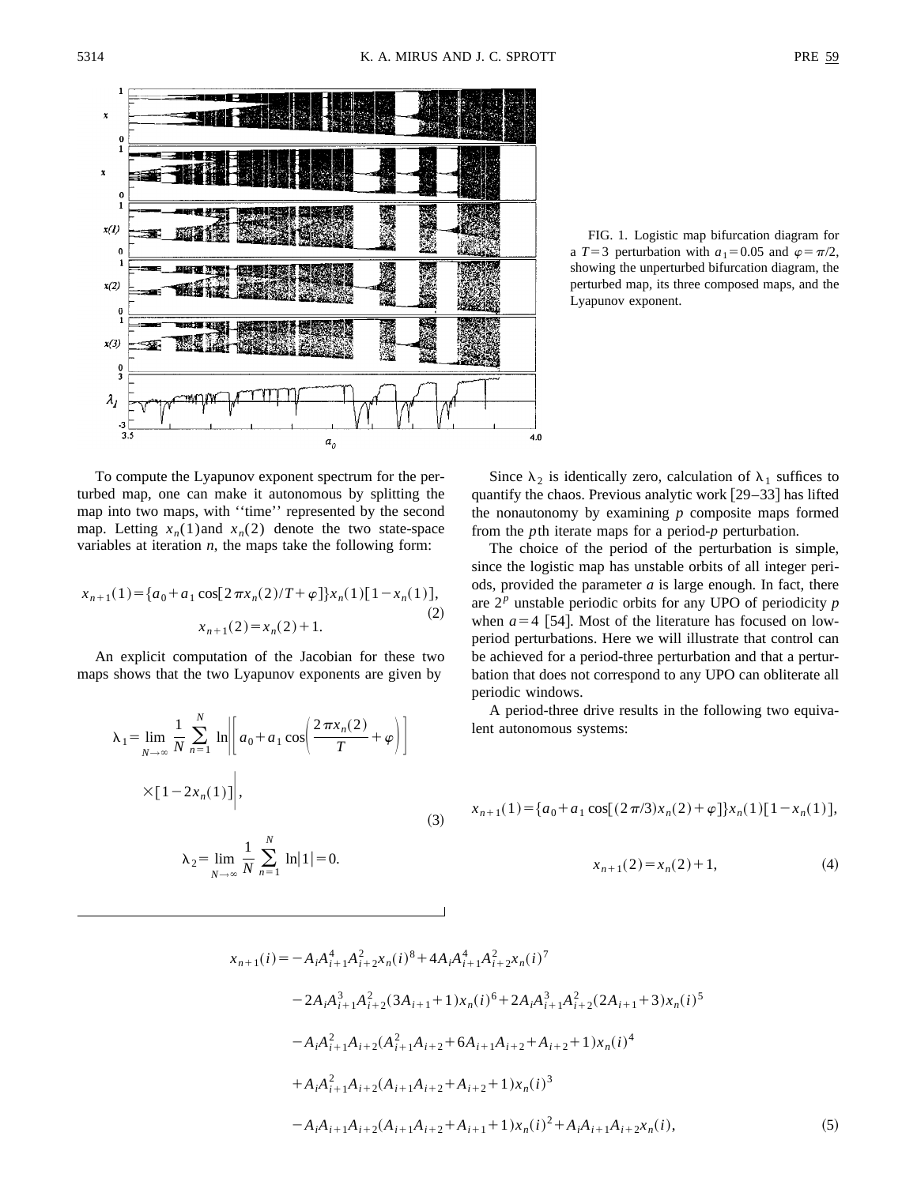

FIG. 1. Logistic map bifurcation diagram for a  $T=3$  perturbation with  $a_1=0.05$  and  $\varphi=\pi/2$ , showing the unperturbed bifurcation diagram, the perturbed map, its three composed maps, and the Lyapunov exponent.

To compute the Lyapunov exponent spectrum for the perturbed map, one can make it autonomous by splitting the map into two maps, with ''time'' represented by the second map. Letting  $x_n(1)$  and  $x_n(2)$  denote the two state-space variables at iteration *n*, the maps take the following form:

$$
x_{n+1}(1) = \{a_0 + a_1 \cos[2\pi x_n(2)/T + \varphi]\}x_n(1)[1 - x_n(1)],
$$
  

$$
x_{n+1}(2) = x_n(2) + 1.
$$
 (2)

An explicit computation of the Jacobian for these two maps shows that the two Lyapunov exponents are given by

$$
\lambda_1 = \lim_{N \to \infty} \frac{1}{N} \sum_{n=1}^{N} \ln \left| \left[ a_0 + a_1 \cos \left( \frac{2 \pi x_n(2)}{T} + \varphi \right) \right] \right|
$$
  
 
$$
\times [1 - 2x_n(1)] \Bigg|, \tag{3}
$$
  

$$
\lambda_2 = \lim_{N \to \infty} \frac{1}{N} \sum_{n=1}^{N} \ln |1| = 0.
$$

Since  $\lambda_2$  is identically zero, calculation of  $\lambda_1$  suffices to quantify the chaos. Previous analytic work  $[29-33]$  has lifted the nonautonomy by examining *p* composite maps formed from the *p*th iterate maps for a period-*p* perturbation.

The choice of the period of the perturbation is simple, since the logistic map has unstable orbits of all integer periods, provided the parameter *a* is large enough. In fact, there are 2*<sup>p</sup>* unstable periodic orbits for any UPO of periodicity *p* when  $a=4$  [54]. Most of the literature has focused on lowperiod perturbations. Here we will illustrate that control can be achieved for a period-three perturbation and that a perturbation that does not correspond to any UPO can obliterate all periodic windows.

A period-three drive results in the following two equivalent autonomous systems:

$$
x_{n+1}(1) = \{a_0 + a_1 \cos[(2\pi/3)x_n(2) + \varphi]\}x_n(1)[1 - x_n(1)],
$$

$$
x_{n+1}(2) = x_n(2) + 1,\tag{4}
$$

$$
x_{n+1}(i) = -A_i A_{i+1}^4 A_{i+2}^2 x_n(i)^8 + 4A_i A_{i+1}^4 A_{i+2}^2 x_n(i)^7
$$
  
\n
$$
-2A_i A_{i+1}^3 A_{i+2}^2 (3A_{i+1}+1) x_n(i)^6 + 2A_i A_{i+1}^3 A_{i+2}^2 (2A_{i+1}+3) x_n(i)^5
$$
  
\n
$$
-A_i A_{i+1}^2 A_{i+2} (A_{i+1}^2 A_{i+2}+6A_{i+1} A_{i+2}+A_{i+2}+1) x_n(i)^4
$$
  
\n
$$
+A_i A_{i+1}^2 A_{i+2} (A_{i+1} A_{i+2}+A_{i+2}+1) x_n(i)^3
$$
  
\n
$$
-A_i A_{i+1} A_{i+2} (A_{i+1} A_{i+2}+A_{i+1}+1) x_n(i)^2 + A_i A_{i+1} A_{i+2} x_n(i),
$$
\n(5)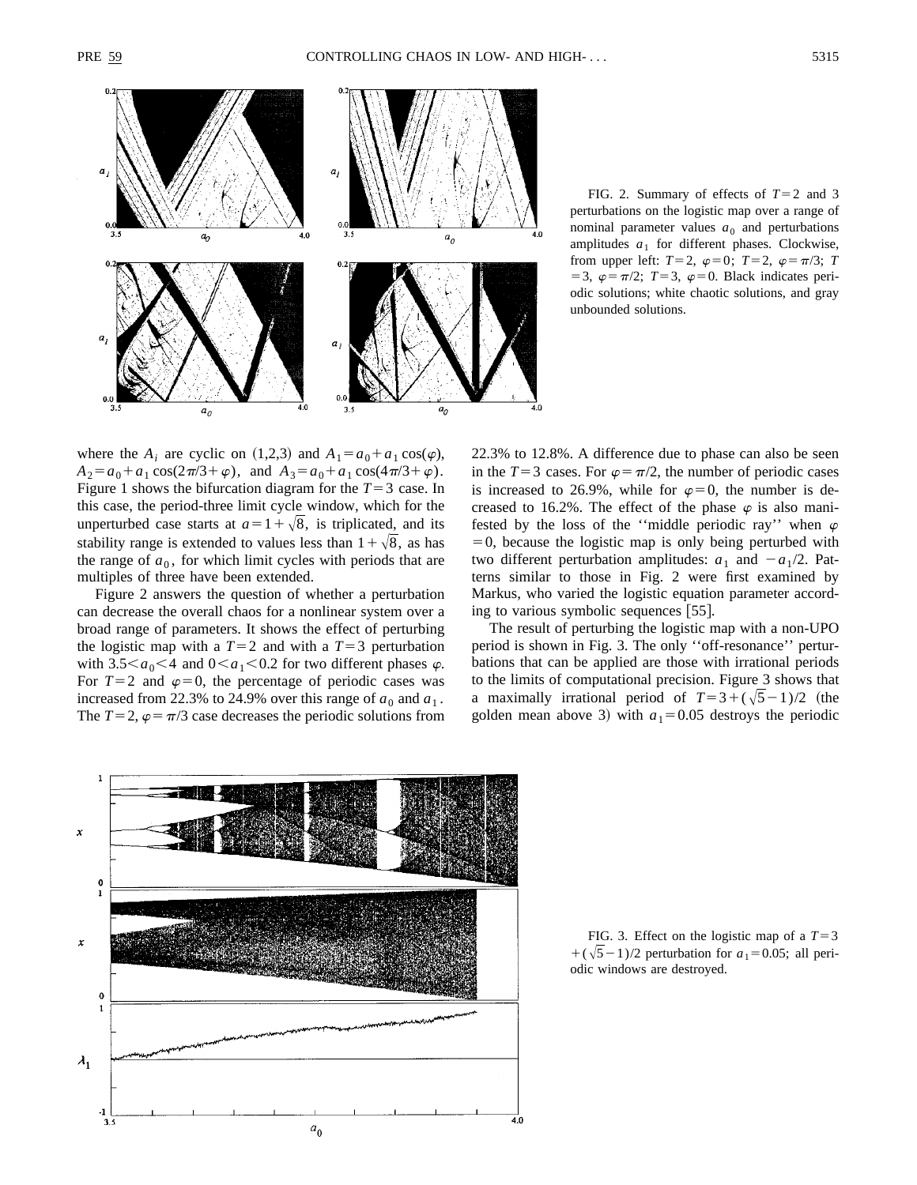

FIG. 2. Summary of effects of  $T=2$  and 3 perturbations on the logistic map over a range of nominal parameter values  $a_0$  and perturbations amplitudes  $a_1$  for different phases. Clockwise, from upper left:  $T=2$ ,  $\varphi=0$ ;  $T=2$ ,  $\varphi=\pi/3$ ; *T* = 3,  $\varphi = \pi/2$ ; *T*=3,  $\varphi = 0$ . Black indicates periodic solutions; white chaotic solutions, and gray unbounded solutions.

where the  $A_i$  are cyclic on (1,2,3) and  $A_1 = a_0 + a_1 \cos(\varphi)$ ,  $A_2 = a_0 + a_1 \cos(2\pi/3 + \varphi)$ , and  $A_3 = a_0 + a_1 \cos(4\pi/3 + \varphi)$ . Figure 1 shows the bifurcation diagram for the  $T=3$  case. In this case, the period-three limit cycle window, which for the unperturbed case starts at  $a=1+\sqrt{8}$ , is triplicated, and its stability range is extended to values less than  $1+\sqrt{8}$ , as has the range of  $a_0$ , for which limit cycles with periods that are multiples of three have been extended.

Figure 2 answers the question of whether a perturbation can decrease the overall chaos for a nonlinear system over a broad range of parameters. It shows the effect of perturbing the logistic map with a  $T=2$  and with a  $T=3$  perturbation with  $3.5 \le a_0 \le 4$  and  $0 \le a_1 \le 0.2$  for two different phases  $\varphi$ . For  $T=2$  and  $\varphi=0$ , the percentage of periodic cases was increased from 22.3% to 24.9% over this range of  $a_0$  and  $a_1$ . The  $T=2$ ,  $\varphi=\pi/3$  case decreases the periodic solutions from 22.3% to 12.8%. A difference due to phase can also be seen in the  $T=3$  cases. For  $\varphi=\pi/2$ , the number of periodic cases is increased to 26.9%, while for  $\varphi=0$ , the number is decreased to 16.2%. The effect of the phase  $\varphi$  is also manifested by the loss of the "middle periodic ray" when  $\varphi$  $=0$ , because the logistic map is only being perturbed with two different perturbation amplitudes:  $a_1$  and  $-a_1/2$ . Patterns similar to those in Fig. 2 were first examined by Markus, who varied the logistic equation parameter according to various symbolic sequences  $[55]$ .

The result of perturbing the logistic map with a non-UPO period is shown in Fig. 3. The only ''off-resonance'' perturbations that can be applied are those with irrational periods to the limits of computational precision. Figure 3 shows that a maximally irrational period of  $T=3+(\sqrt{5}-1)/2$  (the golden mean above 3) with  $a_1=0.05$  destroys the periodic



FIG. 3. Effect on the logistic map of a  $T=3$  $+(\sqrt{5}-1)/2$  perturbation for  $a_1=0.05$ ; all periodic windows are destroyed.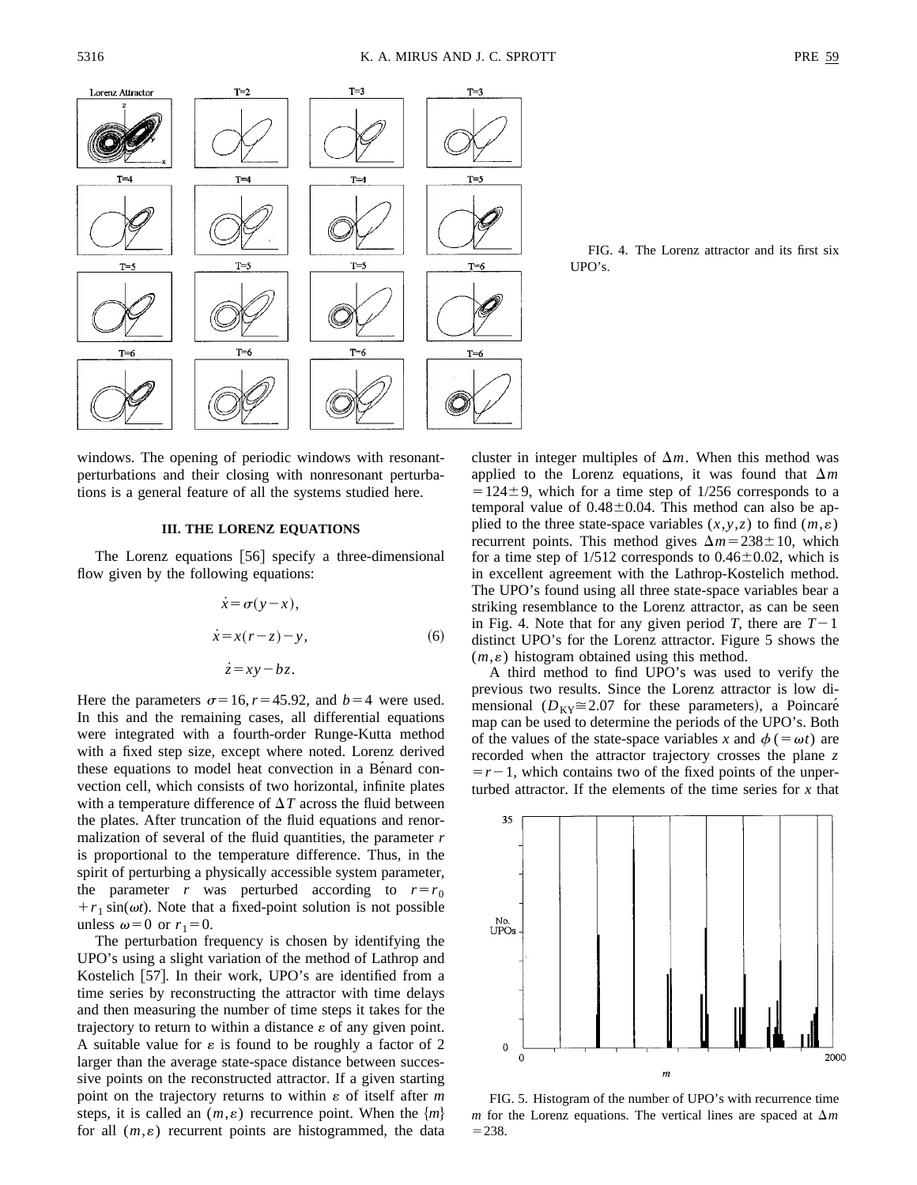

FIG. 4. The Lorenz attractor and its first six UPO's.

windows. The opening of periodic windows with resonantperturbations and their closing with nonresonant perturbations is a general feature of all the systems studied here.

#### **III. THE LORENZ EQUATIONS**

The Lorenz equations  $[56]$  specify a three-dimensional flow given by the following equations:

$$
\begin{aligned}\n\dot{x} &= \sigma(y - x), \\
\dot{x} &= x(r - z) - y, \\
\dot{z} &= xy - bz.\n\end{aligned}
$$
\n(6)

Here the parameters  $\sigma$ =16,  $r$ =45.92, and *b*=4 were used. In this and the remaining cases, all differential equations were integrated with a fourth-order Runge-Kutta method with a fixed step size, except where noted. Lorenz derived these equations to model heat convection in a Bénard convection cell, which consists of two horizontal, infinite plates with a temperature difference of  $\Delta T$  across the fluid between the plates. After truncation of the fluid equations and renormalization of several of the fluid quantities, the parameter *r* is proportional to the temperature difference. Thus, in the spirit of perturbing a physically accessible system parameter, the parameter *r* was perturbed according to  $r = r_0$  $+r_1 \sin(\omega t)$ . Note that a fixed-point solution is not possible unless  $\omega=0$  or  $r_1=0$ .

The perturbation frequency is chosen by identifying the UPO's using a slight variation of the method of Lathrop and Kostelich  $[57]$ . In their work, UPO's are identified from a time series by reconstructing the attractor with time delays and then measuring the number of time steps it takes for the trajectory to return to within a distance  $\varepsilon$  of any given point. A suitable value for  $\varepsilon$  is found to be roughly a factor of 2 larger than the average state-space distance between successive points on the reconstructed attractor. If a given starting point on the trajectory returns to within  $\varepsilon$  of itself after  $m$ steps, it is called an  $(m, \varepsilon)$  recurrence point. When the  $\{m\}$ for all  $(m, \varepsilon)$  recurrent points are histogrammed, the data cluster in integer multiples of  $\Delta m$ . When this method was applied to the Lorenz equations, it was found that  $\Delta m$  $=124\pm9$ , which for a time step of 1/256 corresponds to a temporal value of  $0.48 \pm 0.04$ . This method can also be applied to the three state-space variables  $(x, y, z)$  to find  $(m, \varepsilon)$ recurrent points. This method gives  $\Delta m = 238 \pm 10$ , which for a time step of  $1/512$  corresponds to  $0.46 \pm 0.02$ , which is in excellent agreement with the Lathrop-Kostelich method. The UPO's found using all three state-space variables bear a striking resemblance to the Lorenz attractor, as can be seen in Fig. 4. Note that for any given period *T*, there are  $T-1$ distinct UPO's for the Lorenz attractor. Figure 5 shows the  $(m, \varepsilon)$  histogram obtained using this method.

A third method to find UPO's was used to verify the previous two results. Since the Lorenz attractor is low dimensional ( $D_{\text{KY}} \cong 2.07$  for these parameters), a Poincaré map can be used to determine the periods of the UPO's. Both of the values of the state-space variables *x* and  $\phi$  (=  $\omega t$ ) are recorded when the attractor trajectory crosses the plane *z*  $=r-1$ , which contains two of the fixed points of the unperturbed attractor. If the elements of the time series for *x* that



FIG. 5. Histogram of the number of UPO's with recurrence time *m* for the Lorenz equations. The vertical lines are spaced at  $\Delta m$  $= 238.$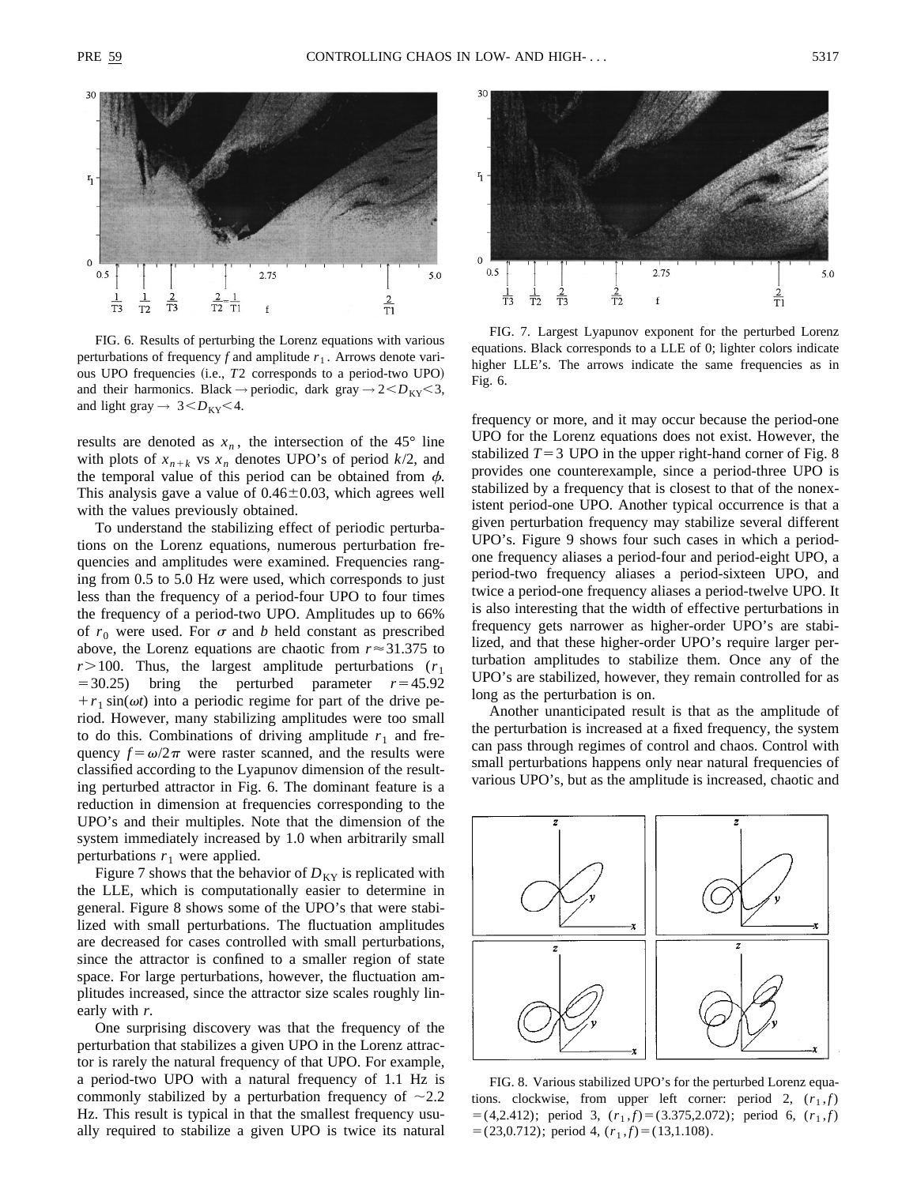

FIG. 6. Results of perturbing the Lorenz equations with various perturbations of frequency  $f$  and amplitude  $r_1$ . Arrows denote various UPO frequencies (i.e., *T2* corresponds to a period-two UPO) and their harmonics. Black  $\rightarrow$  periodic, dark gray  $\rightarrow$  2 $\lt D_{KY}$  $\lt 3$ , and light gray  $\rightarrow$  3 $.$ 

results are denoted as  $x_n$ , the intersection of the 45° line with plots of  $x_{n+k}$  vs  $x_n$  denotes UPO's of period  $k/2$ , and the temporal value of this period can be obtained from  $\phi$ . This analysis gave a value of  $0.46 \pm 0.03$ , which agrees well with the values previously obtained.

To understand the stabilizing effect of periodic perturbations on the Lorenz equations, numerous perturbation frequencies and amplitudes were examined. Frequencies ranging from 0.5 to 5.0 Hz were used, which corresponds to just less than the frequency of a period-four UPO to four times the frequency of a period-two UPO. Amplitudes up to 66% of  $r_0$  were used. For  $\sigma$  and *b* held constant as prescribed above, the Lorenz equations are chaotic from  $r \approx 31.375$  to  $r > 100$ . Thus, the largest amplitude perturbations ( $r_1$ )  $=$  30.25) bring the perturbed parameter  $r=$  45.92  $+r_1 \sin(\omega t)$  into a periodic regime for part of the drive period. However, many stabilizing amplitudes were too small to do this. Combinations of driving amplitude  $r_1$  and frequency  $f = \omega/2\pi$  were raster scanned, and the results were classified according to the Lyapunov dimension of the resulting perturbed attractor in Fig. 6. The dominant feature is a reduction in dimension at frequencies corresponding to the UPO's and their multiples. Note that the dimension of the system immediately increased by 1.0 when arbitrarily small perturbations  $r_1$  were applied.

Figure 7 shows that the behavior of  $D_{KY}$  is replicated with the LLE, which is computationally easier to determine in general. Figure 8 shows some of the UPO's that were stabilized with small perturbations. The fluctuation amplitudes are decreased for cases controlled with small perturbations, since the attractor is confined to a smaller region of state space. For large perturbations, however, the fluctuation amplitudes increased, since the attractor size scales roughly linearly with *r*.

One surprising discovery was that the frequency of the perturbation that stabilizes a given UPO in the Lorenz attractor is rarely the natural frequency of that UPO. For example, a period-two UPO with a natural frequency of 1.1 Hz is commonly stabilized by a perturbation frequency of  $\sim$ 2.2 Hz. This result is typical in that the smallest frequency usually required to stabilize a given UPO is twice its natural



FIG. 7. Largest Lyapunov exponent for the perturbed Lorenz equations. Black corresponds to a LLE of 0; lighter colors indicate higher LLE's. The arrows indicate the same frequencies as in Fig. 6.

frequency or more, and it may occur because the period-one UPO for the Lorenz equations does not exist. However, the stabilized  $T=3$  UPO in the upper right-hand corner of Fig. 8 provides one counterexample, since a period-three UPO is stabilized by a frequency that is closest to that of the nonexistent period-one UPO. Another typical occurrence is that a given perturbation frequency may stabilize several different UPO's. Figure 9 shows four such cases in which a periodone frequency aliases a period-four and period-eight UPO, a period-two frequency aliases a period-sixteen UPO, and twice a period-one frequency aliases a period-twelve UPO. It is also interesting that the width of effective perturbations in frequency gets narrower as higher-order UPO's are stabilized, and that these higher-order UPO's require larger perturbation amplitudes to stabilize them. Once any of the UPO's are stabilized, however, they remain controlled for as long as the perturbation is on.

Another unanticipated result is that as the amplitude of the perturbation is increased at a fixed frequency, the system can pass through regimes of control and chaos. Control with small perturbations happens only near natural frequencies of various UPO's, but as the amplitude is increased, chaotic and



FIG. 8. Various stabilized UPO's for the perturbed Lorenz equations. clockwise, from upper left corner: period 2,  $(r_1, f)$  $=$  (4,2.412); period 3,  $(r_1,f)$  $=$  (3.375,2.072); period 6,  $(r_1,f)$  $=(23,0.712)$ ; period 4,  $(r_1,f)=(13,1.108)$ .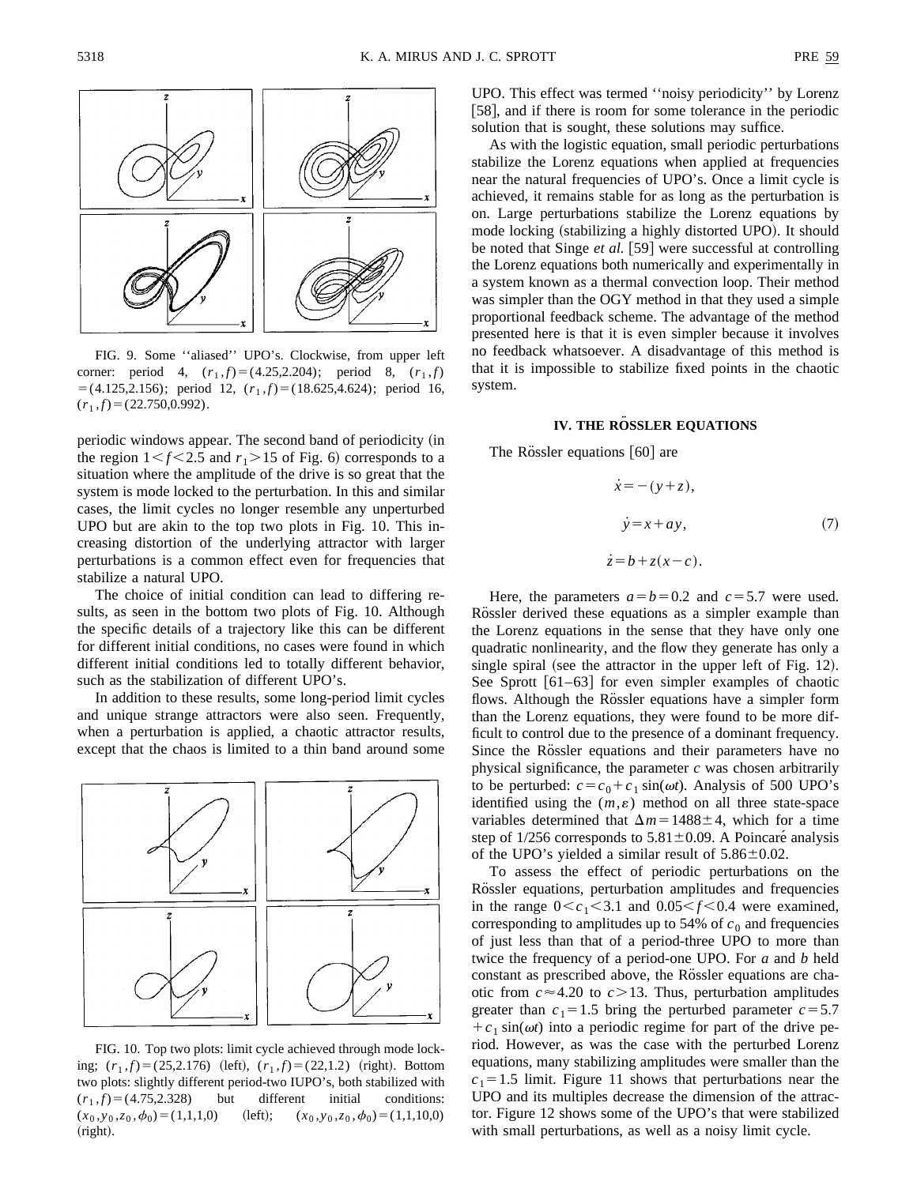

FIG. 9. Some ''aliased'' UPO's. Clockwise, from upper left corner: period 4,  $(r_1,f)=(4.25,2.204)$ ; period 8,  $(r_1,f)$  $=$  (4.125,2.156); period 12,  $(r_1,f)$  = (18.625,4.624); period 16,  $(r_1,f)=(22.750,0.992).$ 

periodic windows appear. The second band of periodicity (in the region  $1 \le f \le 2.5$  and  $r_1 > 15$  of Fig. 6) corresponds to a situation where the amplitude of the drive is so great that the system is mode locked to the perturbation. In this and similar cases, the limit cycles no longer resemble any unperturbed UPO but are akin to the top two plots in Fig. 10. This increasing distortion of the underlying attractor with larger perturbations is a common effect even for frequencies that stabilize a natural UPO.

The choice of initial condition can lead to differing results, as seen in the bottom two plots of Fig. 10. Although the specific details of a trajectory like this can be different for different initial conditions, no cases were found in which different initial conditions led to totally different behavior, such as the stabilization of different UPO's.

In addition to these results, some long-period limit cycles and unique strange attractors were also seen. Frequently, when a perturbation is applied, a chaotic attractor results, except that the chaos is limited to a thin band around some



FIG. 10. Top two plots: limit cycle achieved through mode locking;  $(r_1,f)=(25,2.176)$  (left),  $(r_1,f)=(22,1.2)$  (right). Bottom two plots: slightly different period-two IUPO's, both stabilized with  $(r_1,f)=(4.75,2.328)$  but different initial conditions:  $(x_0, y_0, z_0, \phi_0) = (1,1,1,0)$  (left);  $(x_0, y_0, z_0, \phi_0) = (1,1,10,0)$  $(right).$ 

As with the logistic equation, small periodic perturbations stabilize the Lorenz equations when applied at frequencies near the natural frequencies of UPO's. Once a limit cycle is achieved, it remains stable for as long as the perturbation is on. Large perturbations stabilize the Lorenz equations by mode locking (stabilizing a highly distorted UPO). It should be noted that Singe *et al.* [59] were successful at controlling the Lorenz equations both numerically and experimentally in a system known as a thermal convection loop. Their method was simpler than the OGY method in that they used a simple proportional feedback scheme. The advantage of the method presented here is that it is even simpler because it involves no feedback whatsoever. A disadvantage of this method is that it is impossible to stabilize fixed points in the chaotic system.

# **IV. THE RÖSSLER EQUATIONS**

The Rössler equations  $[60]$  are

$$
\begin{aligned}\n\dot{x} &= -(y+z), \\
\dot{y} &= x+ay,\n\end{aligned}
$$
\n(7)\n
$$
\begin{aligned}\n\dot{z} &= b + z(x-c).\n\end{aligned}
$$

Here, the parameters  $a=b=0.2$  and  $c=5.7$  were used. Rössler derived these equations as a simpler example than the Lorenz equations in the sense that they have only one quadratic nonlinearity, and the flow they generate has only a single spiral (see the attractor in the upper left of Fig.  $12$ ). See Sprott  $[61–63]$  for even simpler examples of chaotic flows. Although the Rössler equations have a simpler form than the Lorenz equations, they were found to be more difficult to control due to the presence of a dominant frequency. Since the Rössler equations and their parameters have no physical significance, the parameter *c* was chosen arbitrarily to be perturbed:  $c = c_0 + c_1 \sin(\omega t)$ . Analysis of 500 UPO's identified using the  $(m, \varepsilon)$  method on all three state-space variables determined that  $\Delta m = 1488 \pm 4$ , which for a time step of  $1/256$  corresponds to  $5.81 \pm 0.09$ . A Poincaré analysis of the UPO's yielded a similar result of  $5.86 \pm 0.02$ .

To assess the effect of periodic perturbations on the Rössler equations, perturbation amplitudes and frequencies in the range  $0 < c_1 < 3.1$  and  $0.05 < f < 0.4$  were examined, corresponding to amplitudes up to 54% of  $c_0$  and frequencies of just less than that of a period-three UPO to more than twice the frequency of a period-one UPO. For *a* and *b* held constant as prescribed above, the Rossler equations are chaotic from  $c \approx 4.20$  to  $c > 13$ . Thus, perturbation amplitudes greater than  $c_1 = 1.5$  bring the perturbed parameter  $c = 5.7$  $+c_1 \sin(\omega t)$  into a periodic regime for part of the drive period. However, as was the case with the perturbed Lorenz equations, many stabilizing amplitudes were smaller than the  $c_1$ =1.5 limit. Figure 11 shows that perturbations near the UPO and its multiples decrease the dimension of the attractor. Figure 12 shows some of the UPO's that were stabilized with small perturbations, as well as a noisy limit cycle.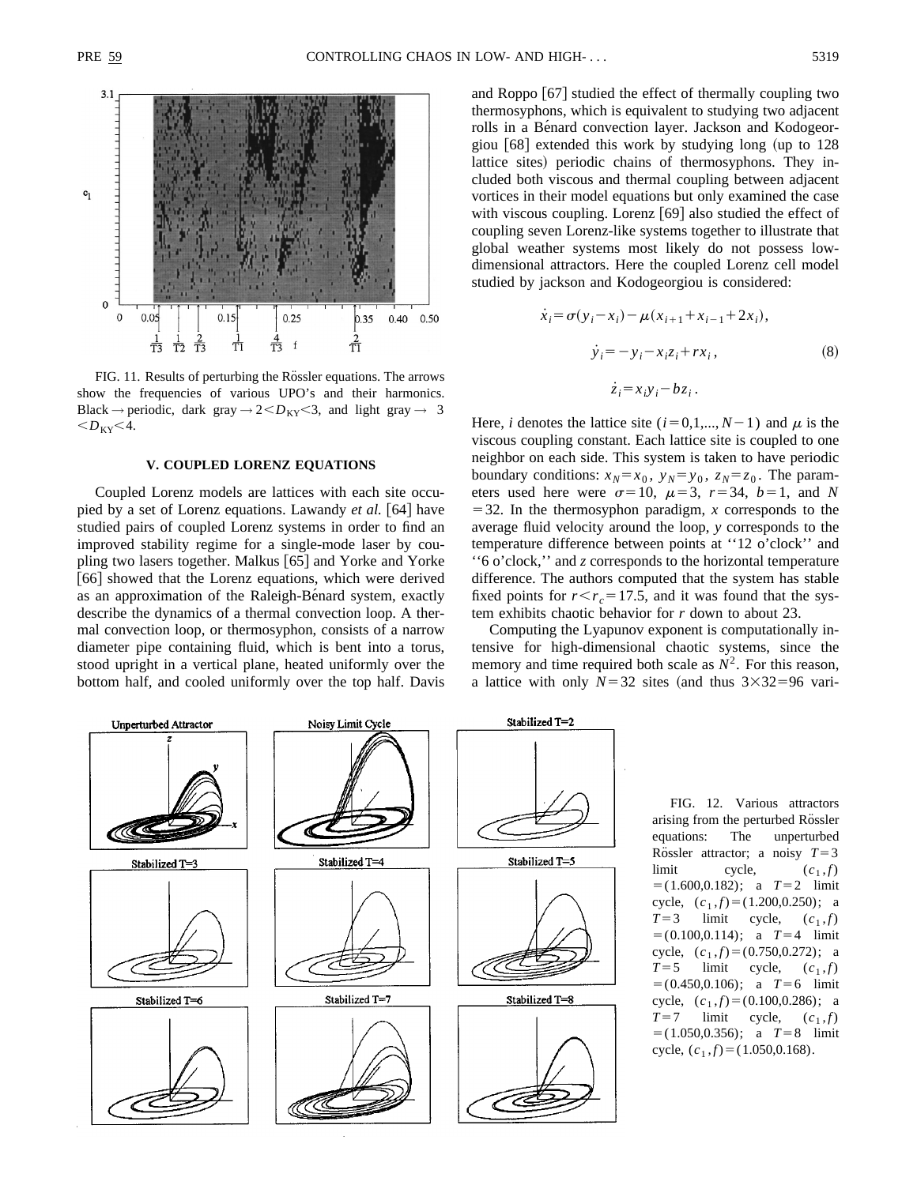

FIG. 11. Results of perturbing the Rössler equations. The arrows show the frequencies of various UPO's and their harmonics. Black  $\rightarrow$  periodic, dark gray  $\rightarrow$  2 $\lt D_{KY}$  $\lt 3$ , and light gray  $\rightarrow$  3  $$ 

#### **V. COUPLED LORENZ EQUATIONS**

Coupled Lorenz models are lattices with each site occupied by a set of Lorenz equations. Lawandy *et al.* [64] have studied pairs of coupled Lorenz systems in order to find an improved stability regime for a single-mode laser by coupling two lasers together. Malkus [65] and Yorke and Yorke [66] showed that the Lorenz equations, which were derived as an approximation of the Raleigh-Be $\hat{\theta}$  and system, exactly describe the dynamics of a thermal convection loop. A thermal convection loop, or thermosyphon, consists of a narrow diameter pipe containing fluid, which is bent into a torus, stood upright in a vertical plane, heated uniformly over the bottom half, and cooled uniformly over the top half. Davis and Roppo  $|67|$  studied the effect of thermally coupling two thermosyphons, which is equivalent to studying two adjacent rolls in a Bénard convection layer. Jackson and Kodogeorgiou  $[68]$  extended this work by studying long (up to 128) lattice sites) periodic chains of thermosyphons. They included both viscous and thermal coupling between adjacent vortices in their model equations but only examined the case with viscous coupling. Lorenz  $[69]$  also studied the effect of coupling seven Lorenz-like systems together to illustrate that global weather systems most likely do not possess lowdimensional attractors. Here the coupled Lorenz cell model studied by jackson and Kodogeorgiou is considered:

$$
\dot{x}_i = \sigma(y_i - x_i) - \mu(x_{i+1} + x_{i-1} + 2x_i),
$$
  
\n
$$
\dot{y}_i = -y_i - x_i z_i + rx_i,
$$
  
\n
$$
\dot{z}_i = x_i y_i - bz_i.
$$
\n(8)

Here, *i* denotes the lattice site  $(i=0,1,..., N-1)$  and  $\mu$  is the viscous coupling constant. Each lattice site is coupled to one neighbor on each side. This system is taken to have periodic boundary conditions:  $x_N = x_0$ ,  $y_N = y_0$ ,  $z_N = z_0$ . The parameters used here were  $\sigma=10$ ,  $\mu=3$ ,  $r=34$ ,  $b=1$ , and *N*  $=$  32. In the thermosyphon paradigm, *x* corresponds to the average fluid velocity around the loop, *y* corresponds to the temperature difference between points at ''12 o'clock'' and ''6 o'clock,'' and *z* corresponds to the horizontal temperature difference. The authors computed that the system has stable fixed points for  $r < r_c = 17.5$ , and it was found that the system exhibits chaotic behavior for *r* down to about 23.

Computing the Lyapunov exponent is computationally intensive for high-dimensional chaotic systems, since the memory and time required both scale as  $N^2$ . For this reason, a lattice with only  $N=32$  sites (and thus  $3\times32=96$  vari-



FIG. 12. Various attractors arising from the perturbed Rössler equations: The unperturbed Rössler attractor; a noisy  $T=3$ limit cycle,  $(c_1, f)$  $= (1.600, 0.182);$  a  $T=2$  limit cycle,  $(c_1, f) = (1.200, 0.250)$ ; a  $T=3$  limit cycle,  $(c_1,f)$  $= (0.100, 0.114);$  a  $T=4$  limit cycle,  $(c_1, f) = (0.750, 0.272)$ ; a  $T=5$  limit cycle,  $(c_1,f)$  $= (0.450, 0.106);$  a  $T=6$  limit cycle,  $(c_1,f) = (0.100,0.286)$ ; a  $T=7$  limit cycle,  $(c_1, f)$  $=$ (1.050,0.356); a  $T=8$  limit cycle,  $(c_1, f) = (1.050, 0.168)$ .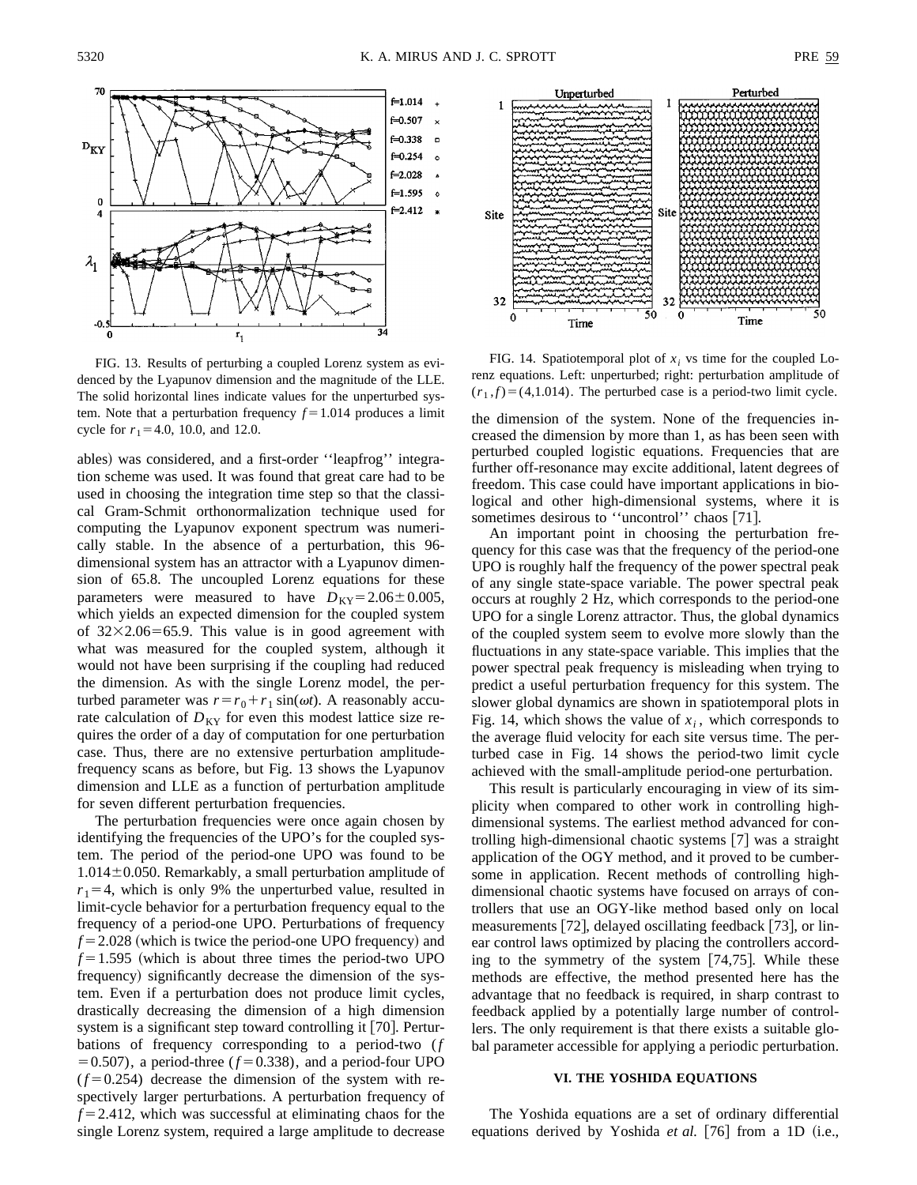

FIG. 13. Results of perturbing a coupled Lorenz system as evidenced by the Lyapunov dimension and the magnitude of the LLE. The solid horizontal lines indicate values for the unperturbed system. Note that a perturbation frequency  $f = 1.014$  produces a limit cycle for  $r_1$ =4.0, 10.0, and 12.0.

ables) was considered, and a first-order "leapfrog" integration scheme was used. It was found that great care had to be used in choosing the integration time step so that the classical Gram-Schmit orthonormalization technique used for computing the Lyapunov exponent spectrum was numerically stable. In the absence of a perturbation, this 96 dimensional system has an attractor with a Lyapunov dimension of 65.8. The uncoupled Lorenz equations for these parameters were measured to have  $D_{KY}=2.06\pm0.005$ , which yields an expected dimension for the coupled system of  $32\times2.06=65.9$ . This value is in good agreement with what was measured for the coupled system, although it would not have been surprising if the coupling had reduced the dimension. As with the single Lorenz model, the perturbed parameter was  $r = r_0 + r_1 \sin(\omega t)$ . A reasonably accurate calculation of  $D_{KY}$  for even this modest lattice size requires the order of a day of computation for one perturbation case. Thus, there are no extensive perturbation amplitudefrequency scans as before, but Fig. 13 shows the Lyapunov dimension and LLE as a function of perturbation amplitude for seven different perturbation frequencies.

The perturbation frequencies were once again chosen by identifying the frequencies of the UPO's for the coupled system. The period of the period-one UPO was found to be  $1.014\pm0.050$ . Remarkably, a small perturbation amplitude of  $r_1$ =4, which is only 9% the unperturbed value, resulted in limit-cycle behavior for a perturbation frequency equal to the frequency of a period-one UPO. Perturbations of frequency  $f = 2.028$  (which is twice the period-one UPO frequency) and  $f = 1.595$  (which is about three times the period-two UPO frequency) significantly decrease the dimension of the system. Even if a perturbation does not produce limit cycles, drastically decreasing the dimension of a high dimension system is a significant step toward controlling it  $[70]$ . Perturbations of frequency corresponding to a period-two (*f*  $= 0.507$ ), a period-three ( $f = 0.338$ ), and a period-four UPO  $(f=0.254)$  decrease the dimension of the system with respectively larger perturbations. A perturbation frequency of  $f = 2.412$ , which was successful at eliminating chaos for the single Lorenz system, required a large amplitude to decrease



FIG. 14. Spatiotemporal plot of  $x_i$  vs time for the coupled Lorenz equations. Left: unperturbed; right: perturbation amplitude of  $(r_1,f)=(4,1.014)$ . The perturbed case is a period-two limit cycle.

the dimension of the system. None of the frequencies increased the dimension by more than 1, as has been seen with perturbed coupled logistic equations. Frequencies that are further off-resonance may excite additional, latent degrees of freedom. This case could have important applications in biological and other high-dimensional systems, where it is sometimes desirous to "uncontrol" chaos [71].

An important point in choosing the perturbation frequency for this case was that the frequency of the period-one UPO is roughly half the frequency of the power spectral peak of any single state-space variable. The power spectral peak occurs at roughly 2 Hz, which corresponds to the period-one UPO for a single Lorenz attractor. Thus, the global dynamics of the coupled system seem to evolve more slowly than the fluctuations in any state-space variable. This implies that the power spectral peak frequency is misleading when trying to predict a useful perturbation frequency for this system. The slower global dynamics are shown in spatiotemporal plots in Fig. 14, which shows the value of  $x_i$ , which corresponds to the average fluid velocity for each site versus time. The perturbed case in Fig. 14 shows the period-two limit cycle achieved with the small-amplitude period-one perturbation.

This result is particularly encouraging in view of its simplicity when compared to other work in controlling highdimensional systems. The earliest method advanced for controlling high-dimensional chaotic systems  $[7]$  was a straight application of the OGY method, and it proved to be cumbersome in application. Recent methods of controlling highdimensional chaotic systems have focused on arrays of controllers that use an OGY-like method based only on local measurements  $[72]$ , delayed oscillating feedback  $[73]$ , or linear control laws optimized by placing the controllers according to the symmetry of the system  $[74,75]$ . While these methods are effective, the method presented here has the advantage that no feedback is required, in sharp contrast to feedback applied by a potentially large number of controllers. The only requirement is that there exists a suitable global parameter accessible for applying a periodic perturbation.

# **VI. THE YOSHIDA EQUATIONS**

The Yoshida equations are a set of ordinary differential equations derived by Yoshida *et al.* [76] from a 1D (i.e.,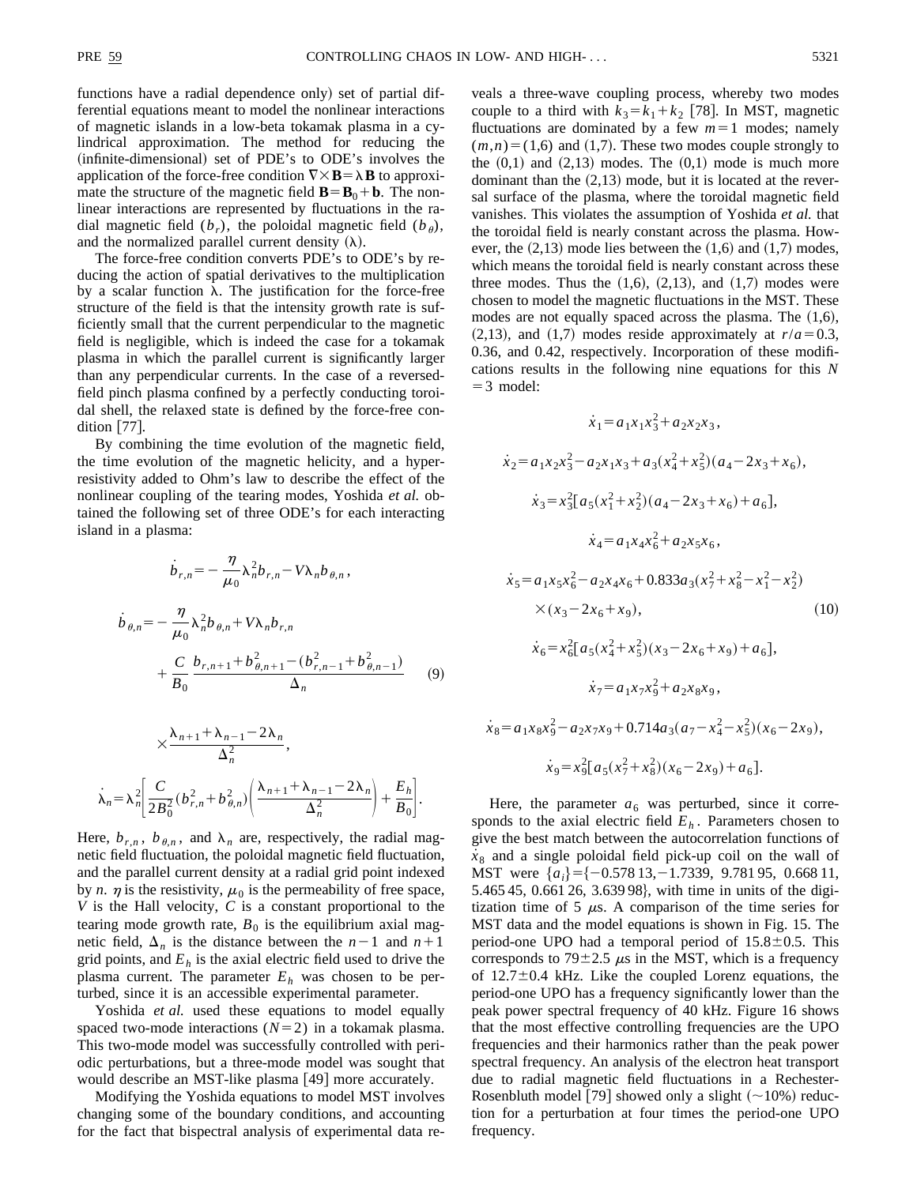$\chi_{8}$ 

functions have a radial dependence only) set of partial differential equations meant to model the nonlinear interactions of magnetic islands in a low-beta tokamak plasma in a cylindrical approximation. The method for reducing the (infinite-dimensional) set of PDE's to ODE's involves the application of the force-free condition  $\nabla \times \mathbf{B} = \lambda \mathbf{B}$  to approximate the structure of the magnetic field  $\mathbf{B} = \mathbf{B}_0 + \mathbf{b}$ . The nonlinear interactions are represented by fluctuations in the radial magnetic field  $(b_r)$ , the poloidal magnetic field  $(b_\theta)$ , and the normalized parallel current density  $(\lambda)$ .

The force-free condition converts PDE's to ODE's by reducing the action of spatial derivatives to the multiplication by a scalar function  $\lambda$ . The justification for the force-free structure of the field is that the intensity growth rate is sufficiently small that the current perpendicular to the magnetic field is negligible, which is indeed the case for a tokamak plasma in which the parallel current is significantly larger than any perpendicular currents. In the case of a reversedfield pinch plasma confined by a perfectly conducting toroidal shell, the relaxed state is defined by the force-free condition  $[77]$ .

By combining the time evolution of the magnetic field, the time evolution of the magnetic helicity, and a hyperresistivity added to Ohm's law to describe the effect of the nonlinear coupling of the tearing modes, Yoshida *et al.* obtained the following set of three ODE's for each interacting island in a plasma:

$$
\dot{b}_{r,n} = -\frac{\eta}{\mu_0} \lambda_n^2 b_{r,n} - V \lambda_n b_{\theta,n},
$$
\n
$$
\dot{b}_{\theta,n} = -\frac{\eta}{\mu_0} \lambda_n^2 b_{\theta,n} + V \lambda_n b_{r,n} + \frac{C}{B_0} \frac{b_{r,n+1} + b_{\theta,n+1}^2 - (b_{r,n-1}^2 + b_{\theta,n-1}^2)}{\Delta_n}
$$
\n(9)

$$
\times \frac{\lambda_{n+1} + \lambda_{n-1} - 2\lambda_n}{\Delta_n^2},
$$
  

$$
\lambda_n = \lambda_n^2 \left[ \frac{C}{2B_0^2} (b_{r,n}^2 + b_{\theta,n}^2) \left( \frac{\lambda_{n+1} + \lambda_{n-1} - 2\lambda_n}{\Delta_n^2} \right) + \frac{E_h}{B_0} \right].
$$

Here,  $b_{r,n}$ ,  $b_{\theta,n}$ , and  $\lambda_n$  are, respectively, the radial magnetic field fluctuation, the poloidal magnetic field fluctuation, and the parallel current density at a radial grid point indexed by *n*.  $\eta$  is the resistivity,  $\mu_0$  is the permeability of free space, *V* is the Hall velocity, *C* is a constant proportional to the tearing mode growth rate,  $B_0$  is the equilibrium axial magnetic field,  $\Delta_n$  is the distance between the  $n-1$  and  $n+1$ grid points, and  $E<sub>h</sub>$  is the axial electric field used to drive the plasma current. The parameter  $E<sub>h</sub>$  was chosen to be perturbed, since it is an accessible experimental parameter.

Yoshida *et al.* used these equations to model equally spaced two-mode interactions  $(N=2)$  in a tokamak plasma. This two-mode model was successfully controlled with periodic perturbations, but a three-mode model was sought that would describe an MST-like plasma [49] more accurately.

Modifying the Yoshida equations to model MST involves changing some of the boundary conditions, and accounting for the fact that bispectral analysis of experimental data reveals a three-wave coupling process, whereby two modes couple to a third with  $k_3 = k_1 + k_2$  [78]. In MST, magnetic fluctuations are dominated by a few  $m=1$  modes; namely  $(m,n)=(1,6)$  and  $(1,7)$ . These two modes couple strongly to the  $(0,1)$  and  $(2,13)$  modes. The  $(0,1)$  mode is much more dominant than the  $(2,13)$  mode, but it is located at the reversal surface of the plasma, where the toroidal magnetic field vanishes. This violates the assumption of Yoshida *et al.* that the toroidal field is nearly constant across the plasma. However, the  $(2,13)$  mode lies between the  $(1,6)$  and  $(1,7)$  modes, which means the toroidal field is nearly constant across these three modes. Thus the  $(1,6)$ ,  $(2,13)$ , and  $(1,7)$  modes were chosen to model the magnetic fluctuations in the MST. These modes are not equally spaced across the plasma. The  $(1,6)$ ,  $(2,13)$ , and  $(1,7)$  modes reside approximately at  $r/a = 0.3$ , 0.36, and 0.42, respectively. Incorporation of these modifications results in the following nine equations for this *N*  $=$  3 model:

$$
\dot{x}_1 = a_1 x_1 x_3^2 + a_2 x_2 x_3,
$$
  
\n
$$
\dot{x}_2 = a_1 x_2 x_3^2 - a_2 x_1 x_3 + a_3 (x_4^2 + x_5^2) (a_4 - 2x_3 + x_6),
$$
  
\n
$$
\dot{x}_3 = x_3^2 [a_5 (x_1^2 + x_2^2) (a_4 - 2x_3 + x_6) + a_6],
$$
  
\n
$$
\dot{x}_4 = a_1 x_4 x_6^2 + a_2 x_5 x_6,
$$
  
\n
$$
\dot{x}_5 = a_1 x_5 x_6^2 - a_2 x_4 x_6 + 0.833 a_3 (x_7^2 + x_8^2 - x_1^2 - x_2^2)
$$
  
\n
$$
\times (x_3 - 2x_6 + x_9),
$$
  
\n
$$
\dot{x}_6 = x_6^2 [a_5 (x_4^2 + x_5^2) (x_3 - 2x_6 + x_9) + a_6],
$$
  
\n
$$
\dot{x}_7 = a_1 x_7 x_9^2 + a_2 x_8 x_9,
$$
  
\n
$$
= a_1 x_8 x_9^2 - a_2 x_7 x_9 + 0.714 a_3 (a_7 - x_4^2 - x_5^2) (x_6 - 2x_9),
$$
  
\n
$$
\dot{x}_9 = x_9^2 [a_5 (x_7^2 + x_8^2) (x_6 - 2x_9) + a_6].
$$

Here, the parameter  $a<sub>6</sub>$  was perturbed, since it corresponds to the axial electric field  $E<sub>h</sub>$ . Parameters chosen to give the best match between the autocorrelation functions of  $x<sub>8</sub>$  and a single poloidal field pick-up coil on the wall of MST were  ${a_i} = {-0.57813, -1.7339, 9.78195, 0.66811,}$ 5.465 45, 0.661 26, 3.639 98, with time in units of the digitization time of 5  $\mu$ s. A comparison of the time series for MST data and the model equations is shown in Fig. 15. The period-one UPO had a temporal period of  $15.8 \pm 0.5$ . This corresponds to 79 $\pm$ 2.5  $\mu$ s in the MST, which is a frequency of  $12.7\pm0.4$  kHz. Like the coupled Lorenz equations, the period-one UPO has a frequency significantly lower than the peak power spectral frequency of 40 kHz. Figure 16 shows that the most effective controlling frequencies are the UPO frequencies and their harmonics rather than the peak power spectral frequency. An analysis of the electron heat transport due to radial magnetic field fluctuations in a Rechester-Rosenbluth model [79] showed only a slight  $(\sim 10\%)$  reduction for a perturbation at four times the period-one UPO frequency.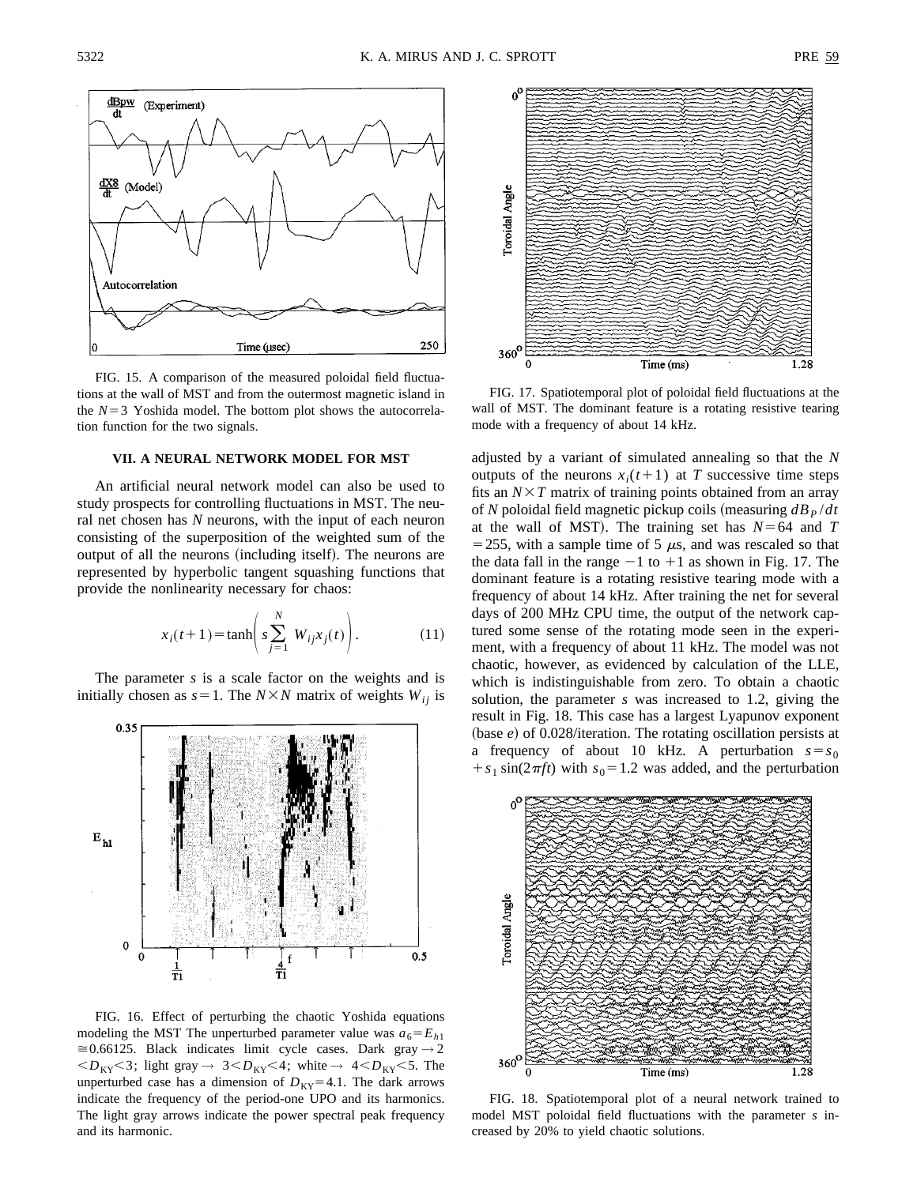

FIG. 15. A comparison of the measured poloidal field fluctuations at the wall of MST and from the outermost magnetic island in the  $N=3$  Yoshida model. The bottom plot shows the autocorrelation function for the two signals.

### **VII. A NEURAL NETWORK MODEL FOR MST**

An artificial neural network model can also be used to study prospects for controlling fluctuations in MST. The neural net chosen has *N* neurons, with the input of each neuron consisting of the superposition of the weighted sum of the output of all the neurons (including itself). The neurons are represented by hyperbolic tangent squashing functions that provide the nonlinearity necessary for chaos:

$$
x_i(t+1) = \tanh\left(s\sum_{j=1}^{N} W_{ij}x_j(t)\right).
$$
 (11)

The parameter *s* is a scale factor on the weights and is initially chosen as  $s=1$ . The *N*×*N* matrix of weights *W<sub>ij</sub>* is



FIG. 16. Effect of perturbing the chaotic Yoshida equations modeling the MST The unperturbed parameter value was  $a_6 = E_{h1}$ >0.66125. Black indicates limit cycle cases. Dark gray *→* 2  $; light gray  $\rightarrow$  3 $; white  $\rightarrow$  4 $. The$$$ unperturbed case has a dimension of  $D_{KY}=4.1$ . The dark arrows indicate the frequency of the period-one UPO and its harmonics. The light gray arrows indicate the power spectral peak frequency and its harmonic.



FIG. 17. Spatiotemporal plot of poloidal field fluctuations at the wall of MST. The dominant feature is a rotating resistive tearing mode with a frequency of about 14 kHz.

adjusted by a variant of simulated annealing so that the *N* outputs of the neurons  $x_i(t+1)$  at *T* successive time steps fits an  $N \times T$  matrix of training points obtained from an array of *N* poloidal field magnetic pickup coils (measuring  $d\mathbf{B}_P/dt$ at the wall of MST). The training set has  $N=64$  and  $T$ = 255, with a sample time of 5  $\mu$ s, and was rescaled so that the data fall in the range  $-1$  to  $+1$  as shown in Fig. 17. The dominant feature is a rotating resistive tearing mode with a frequency of about 14 kHz. After training the net for several days of 200 MHz CPU time, the output of the network captured some sense of the rotating mode seen in the experiment, with a frequency of about 11 kHz. The model was not chaotic, however, as evidenced by calculation of the LLE, which is indistinguishable from zero. To obtain a chaotic solution, the parameter *s* was increased to 1.2, giving the result in Fig. 18. This case has a largest Lyapunov exponent (base  $e$ ) of 0.028/iteration. The rotating oscillation persists at a frequency of about 10 kHz. A perturbation  $s = s_0$  $f(s_1 \sin(2\pi f t))$  with  $s_0 = 1.2$  was added, and the perturbation



FIG. 18. Spatiotemporal plot of a neural network trained to model MST poloidal field fluctuations with the parameter *s* increased by 20% to yield chaotic solutions.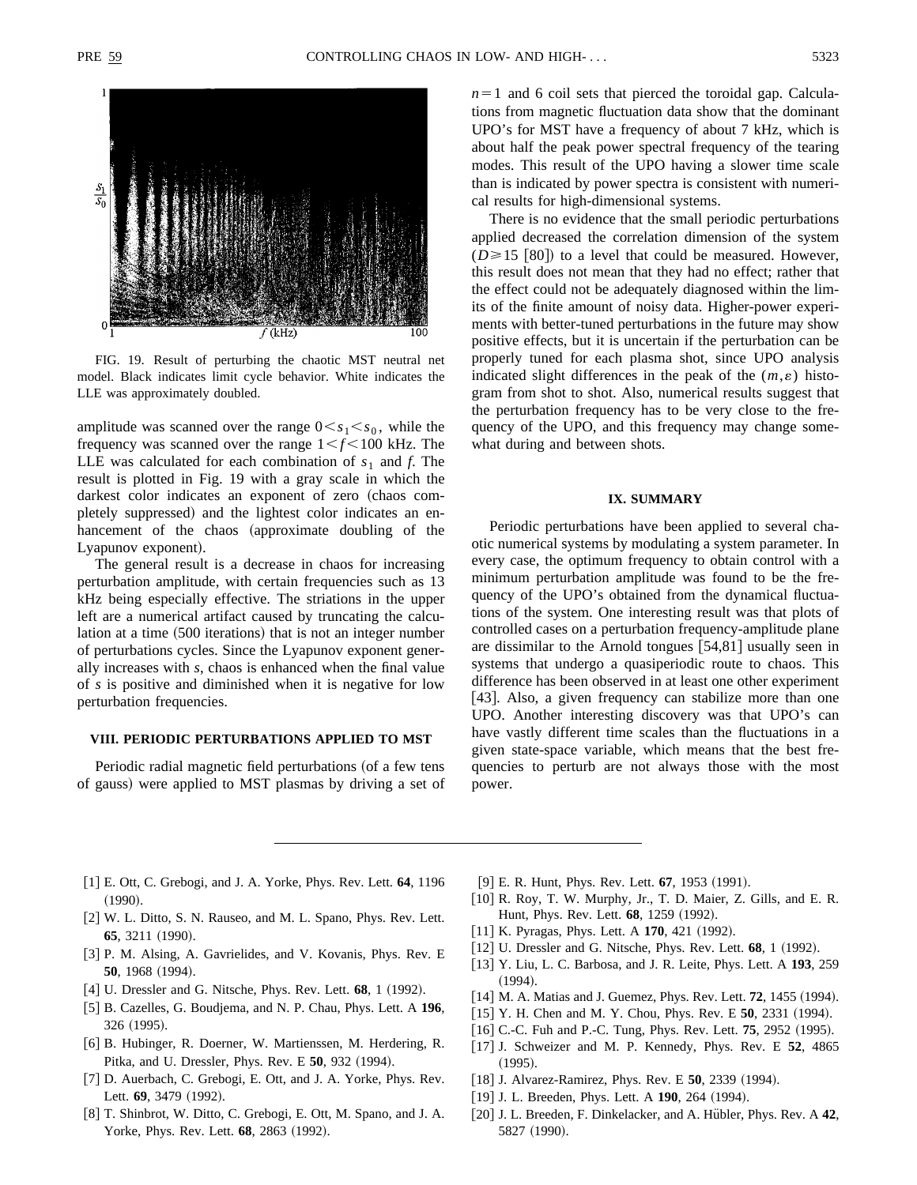

FIG. 19. Result of perturbing the chaotic MST neutral net model. Black indicates limit cycle behavior. White indicates the LLE was approximately doubled.

amplitude was scanned over the range  $0 \lt s_1 \lt s_0$ , while the frequency was scanned over the range  $1 \le f \le 100$  kHz. The LLE was calculated for each combination of  $s_1$  and  $f$ . The result is plotted in Fig. 19 with a gray scale in which the darkest color indicates an exponent of zero (chaos completely suppressed) and the lightest color indicates an enhancement of the chaos (approximate doubling of the Lyapunov exponent).

The general result is a decrease in chaos for increasing perturbation amplitude, with certain frequencies such as 13 kHz being especially effective. The striations in the upper left are a numerical artifact caused by truncating the calculation at a time (500 iterations) that is not an integer number of perturbations cycles. Since the Lyapunov exponent generally increases with *s*, chaos is enhanced when the final value of *s* is positive and diminished when it is negative for low perturbation frequencies.

## **VIII. PERIODIC PERTURBATIONS APPLIED TO MST**

Periodic radial magnetic field perturbations (of a few tens of gauss) were applied to MST plasmas by driving a set of  $n=1$  and 6 coil sets that pierced the toroidal gap. Calculations from magnetic fluctuation data show that the dominant UPO's for MST have a frequency of about 7 kHz, which is about half the peak power spectral frequency of the tearing modes. This result of the UPO having a slower time scale than is indicated by power spectra is consistent with numerical results for high-dimensional systems.

There is no evidence that the small periodic perturbations applied decreased the correlation dimension of the system  $(D \ge 15 \ [80])$  to a level that could be measured. However, this result does not mean that they had no effect; rather that the effect could not be adequately diagnosed within the limits of the finite amount of noisy data. Higher-power experiments with better-tuned perturbations in the future may show positive effects, but it is uncertain if the perturbation can be properly tuned for each plasma shot, since UPO analysis indicated slight differences in the peak of the  $(m, \varepsilon)$  histogram from shot to shot. Also, numerical results suggest that the perturbation frequency has to be very close to the frequency of the UPO, and this frequency may change somewhat during and between shots.

### **IX. SUMMARY**

Periodic perturbations have been applied to several chaotic numerical systems by modulating a system parameter. In every case, the optimum frequency to obtain control with a minimum perturbation amplitude was found to be the frequency of the UPO's obtained from the dynamical fluctuations of the system. One interesting result was that plots of controlled cases on a perturbation frequency-amplitude plane are dissimilar to the Arnold tongues  $|54,81|$  usually seen in systems that undergo a quasiperiodic route to chaos. This difference has been observed in at least one other experiment [43]. Also, a given frequency can stabilize more than one UPO. Another interesting discovery was that UPO's can have vastly different time scales than the fluctuations in a given state-space variable, which means that the best frequencies to perturb are not always those with the most power.

- [1] E. Ott, C. Grebogi, and J. A. Yorke, Phys. Rev. Lett. **64**, 1196  $(1990).$
- [2] W. L. Ditto, S. N. Rauseo, and M. L. Spano, Phys. Rev. Lett. **65**, 3211 (1990).
- [3] P. M. Alsing, A. Gavrielides, and V. Kovanis, Phys. Rev. E **50**, 1968 (1994).
- [4] U. Dressler and G. Nitsche, Phys. Rev. Lett. **68**, 1 (1992).
- [5] B. Cazelles, G. Boudjema, and N. P. Chau, Phys. Lett. A 196, 326 (1995).
- [6] B. Hubinger, R. Doerner, W. Martienssen, M. Herdering, R. Pitka, and U. Dressler, Phys. Rev. E 50, 932 (1994).
- [7] D. Auerbach, C. Grebogi, E. Ott, and J. A. Yorke, Phys. Rev. Lett. **69**, 3479 (1992).
- [8] T. Shinbrot, W. Ditto, C. Grebogi, E. Ott, M. Spano, and J. A. Yorke, Phys. Rev. Lett. **68**, 2863 (1992).
- [9] E. R. Hunt, Phys. Rev. Lett. **67**, 1953 (1991).
- [10] R. Roy, T. W. Murphy, Jr., T. D. Maier, Z. Gills, and E. R. Hunt, Phys. Rev. Lett. **68**, 1259 (1992).
- $[11]$  K. Pyragas, Phys. Lett. A  $170$ ,  $421$   $(1992)$ .
- $[12]$  U. Dressler and G. Nitsche, Phys. Rev. Lett.  $68$ , 1  $(1992)$ .
- @13# Y. Liu, L. C. Barbosa, and J. R. Leite, Phys. Lett. A **193**, 259  $(1994).$
- $[14]$  M. A. Matias and J. Guemez, Phys. Rev. Lett. **72**, 1455  $(1994)$ .
- $[15]$  Y. H. Chen and M. Y. Chou, Phys. Rev. E **50**, 2331 (1994).
- [16] C.-C. Fuh and P.-C. Tung, Phys. Rev. Lett. **75**, 2952 (1995).
- [17] J. Schweizer and M. P. Kennedy, Phys. Rev. E 52, 4865  $(1995).$
- [18] J. Alvarez-Ramirez, Phys. Rev. E **50**, 2339 (1994).
- [19] J. L. Breeden, Phys. Lett. A **190**, 264 (1994).
- [20] J. L. Breeden, F. Dinkelacker, and A. Hübler, Phys. Rev. A 42, 5827 (1990).